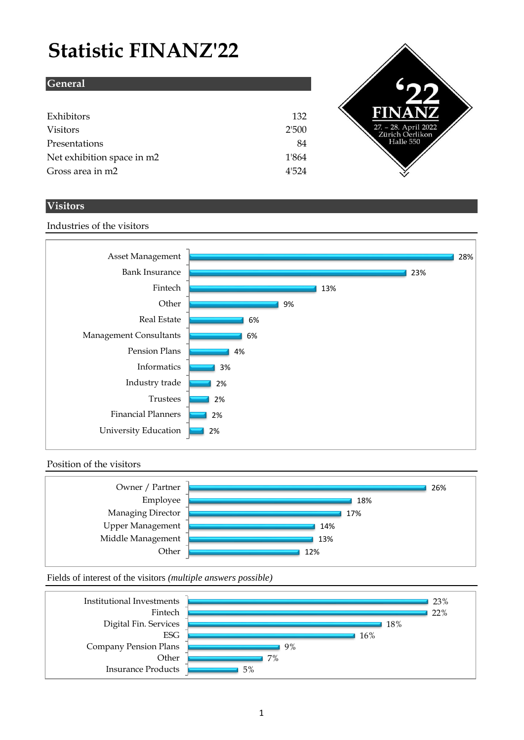# **Statistic FINANZ'22**

| <b>General</b>             |       |
|----------------------------|-------|
|                            |       |
| Exhibitors                 | 132   |
| <b>Visitors</b>            | 2'500 |
| Presentations              | 84    |
| Net exhibition space in m2 | 1'864 |
| Gross area in m2           | 4'524 |



## **Visitors**

Industries of the visitors

#### 2% 2% 2% 2% 3% 4% 6% 6% 9% 13% 23% 28% University Education Financial Planners Trustees Industry trade Informatics Pension Plans Management Consultants Real Estate **Other** Fintech Bank Insurance Asset Management

### Position of the visitors



Fields of interest of the visitors *(multiple answers possible)*